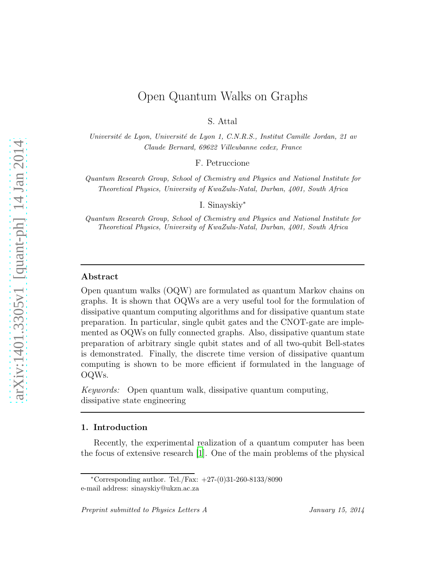# Open Quantum Walks on Graphs

S. Attal

Université de Lyon, Université de Lyon 1, C.N.R.S., Institut Camille Jordan, 21 av Claude Bernard, 69622 Villeubanne cedex, France

F. Petruccione

Quantum Research Group, School of Chemistry and Physics and National Institute for Theoretical Physics, University of KwaZulu-Natal, Durban, 4001, South Africa

I. Sinayskiy<sup>∗</sup>

Quantum Research Group, School of Chemistry and Physics and National Institute for Theoretical Physics, University of KwaZulu-Natal, Durban, 4001, South Africa

### Abstract

Open quantum walks (OQW) are formulated as quantum Markov chains on graphs. It is shown that OQWs are a very useful tool for the formulation of dissipative quantum computing algorithms and for dissipative quantum state preparation. In particular, single qubit gates and the CNOT-gate are implemented as OQWs on fully connected graphs. Also, dissipative quantum state preparation of arbitrary single qubit states and of all two-qubit Bell-states is demonstrated. Finally, the discrete time version of dissipative quantum computing is shown to be more efficient if formulated in the language of OQWs.

Keywords: Open quantum walk, dissipative quantum computing, dissipative state engineering

#### 1. Introduction

Recently, the experimental realization of a quantum computer has been the focus of extensive research [\[1\]](#page-10-0). One of the main problems of the physical

<sup>\*</sup>Corresponding author. Tel./Fax:  $+27-(0)31-260-8133/8090$ e-mail address: sinayskiy@ukzn.ac.za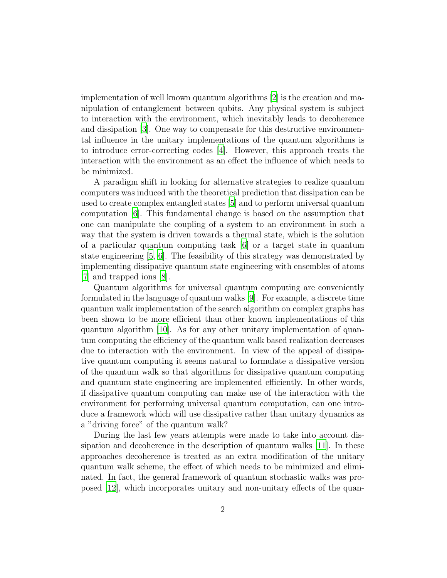implementation of well known quantum algorithms [\[2\]](#page-10-1) is the creation and manipulation of entanglement between qubits. Any physical system is subject to interaction with the environment, which inevitably leads to decoherence and dissipation [\[3\]](#page-10-2). One way to compensate for this destructive environmental influence in the unitary implementations of the quantum algorithms is to introduce error-correcting codes [\[4\]](#page-11-0). However, this approach treats the interaction with the environment as an effect the influence of which needs to be minimized.

A paradigm shift in looking for alternative strategies to realize quantum computers was induced with the theoretical prediction that dissipation can be used to create complex entangled states [\[5](#page-11-1)] and to perform universal quantum computation [\[6](#page-11-2)]. This fundamental change is based on the assumption that one can manipulate the coupling of a system to an environment in such a way that the system is driven towards a thermal state, which is the solution of a particular quantum computing task [\[6\]](#page-11-2) or a target state in quantum state engineering [\[5,](#page-11-1) [6\]](#page-11-2). The feasibility of this strategy was demonstrated by implementing dissipative quantum state engineering with ensembles of atoms [\[7\]](#page-11-3) and trapped ions [\[8](#page-11-4)].

Quantum algorithms for universal quantum computing are conveniently formulated in the language of quantum walks [\[9](#page-11-5)]. For example, a discrete time quantum walk implementation of the search algorithm on complex graphs has been shown to be more efficient than other known implementations of this quantum algorithm [\[10](#page-11-6)]. As for any other unitary implementation of quantum computing the efficiency of the quantum walk based realization decreases due to interaction with the environment. In view of the appeal of dissipative quantum computing it seems natural to formulate a dissipative version of the quantum walk so that algorithms for dissipative quantum computing and quantum state engineering are implemented efficiently. In other words, if dissipative quantum computing can make use of the interaction with the environment for performing universal quantum computation, can one introduce a framework which will use dissipative rather than unitary dynamics as a "driving force" of the quantum walk?

During the last few years attempts were made to take into account dissipation and decoherence in the description of quantum walks [\[11\]](#page-11-7). In these approaches decoherence is treated as an extra modification of the unitary quantum walk scheme, the effect of which needs to be minimized and eliminated. In fact, the general framework of quantum stochastic walks was proposed [\[12](#page-11-8)], which incorporates unitary and non-unitary effects of the quan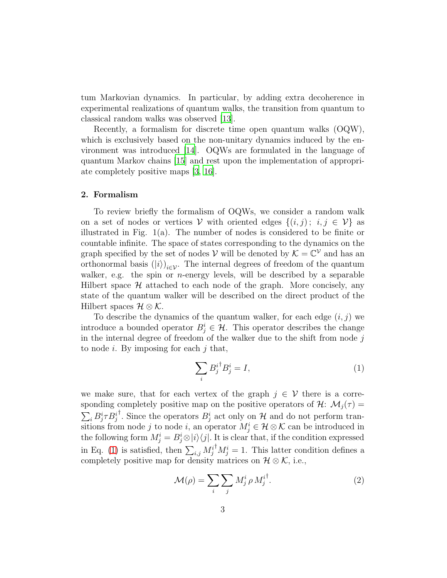tum Markovian dynamics. In particular, by adding extra decoherence in experimental realizations of quantum walks, the transition from quantum to classical random walks was observed [\[13](#page-11-9)].

Recently, a formalism for discrete time open quantum walks (OQW), which is exclusively based on the non-unitary dynamics induced by the environment was introduced [\[14\]](#page-12-0). OQWs are formulated in the language of quantum Markov chains [\[15](#page-12-1)] and rest upon the implementation of appropriate completely positive maps [\[3](#page-10-2), [16](#page-12-2)].

### 2. Formalism

To review briefly the formalism of OQWs, we consider a random walk on a set of nodes or vertices V with oriented edges  $\{(i, j) : i, j \in V\}$  as illustrated in Fig.  $1(a)$ . The number of nodes is considered to be finite or countable infinite. The space of states corresponding to the dynamics on the graph specified by the set of nodes  $V$  will be denoted by  $K = \mathbb{C}^V$  and has an orthonormal basis  $(|i\rangle)_{i\in\mathcal{V}}$ . The internal degrees of freedom of the quantum walker, e.g. the spin or *n*-energy levels, will be described by a separable Hilbert space  $H$  attached to each node of the graph. More concisely, any state of the quantum walker will be described on the direct product of the Hilbert spaces  $\mathcal{H} \otimes \mathcal{K}$ .

To describe the dynamics of the quantum walker, for each edge  $(i, j)$  we introduce a bounded operator  $B_j^i \in \mathcal{H}$ . This operator describes the change in the internal degree of freedom of the walker due to the shift from node  $j$ to node  $i$ . By imposing for each  $j$  that,

<span id="page-2-0"></span>
$$
\sum_{i} B_j^{i\dagger} B_j^{i} = I,\tag{1}
$$

we make sure, that for each vertex of the graph  $j \in V$  there is a corresponding completely positive map on the positive operators of  $\mathcal{H}$ :  $\mathcal{M}_j(\tau) =$  $\sum_i B^i_j \tau B^i_j$ <sup>†</sup>. Since the operators  $B_j^i$  act only on  $\mathcal H$  and do not perform transitions from node j to node i, an operator  $M_j^i \in \mathcal{H} \otimes \mathcal{K}$  can be introduced in the following form  $M_j^i = B_j^i \otimes |i\rangle\langle j|$ . It is clear that, if the condition expressed in Eq. [\(1\)](#page-2-0) is satisfied, then  $\sum_{i,j} M_j^{i^\dagger} M_j^i = 1$ . This latter condition defines a completely positive map for density matrices on  $\mathcal{H} \otimes \mathcal{K}$ , i.e.,

<span id="page-2-1"></span>
$$
\mathcal{M}(\rho) = \sum_{i} \sum_{j} M_j^i \rho M_j^{i^{\dagger}}.
$$
 (2)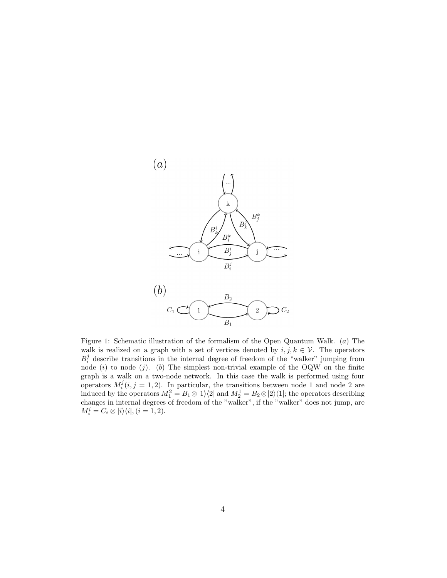

Figure 1: Schematic illustration of the formalism of the Open Quantum Walk. (a) The walk is realized on a graph with a set of vertices denoted by  $i, j, k \in \mathcal{V}$ . The operators  $B_i^j$  describe transitions in the internal degree of freedom of the "walker" jumping from node (i) to node (j). (b) The simplest non-trivial example of the OQW on the finite graph is a walk on a two-node network. In this case the walk is performed using four operators  $M_i^j(i, j = 1, 2)$ . In particular, the transitions between node 1 and node 2 are induced by the operators  $M_1^2 = B_1 \otimes |1\rangle\langle 2|$  and  $M_2^1 = B_2 \otimes |2\rangle\langle 1|$ ; the operators describing changes in internal degrees of freedom of the "walker", if the "walker" does not jump, are  $M_i^i = C_i \otimes |i\rangle\langle i|, (i = 1, 2).$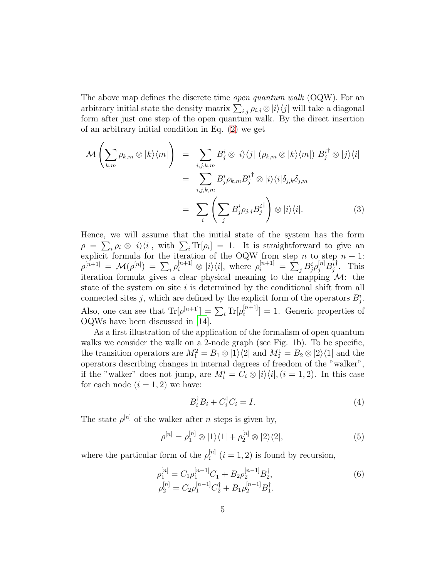The above map defines the discrete time open quantum walk (OQW). For an arbitrary initial state the density matrix  $\sum_{i,j} \rho_{i,j} \otimes |i\rangle\langle j|$  will take a diagonal form after just one step of the open quantum walk. By the direct insertion of an arbitrary initial condition in Eq. [\(2\)](#page-2-1) we get

$$
\mathcal{M}\left(\sum_{k,m}\rho_{k,m}\otimes|k\rangle\langle m|\right) = \sum_{i,j,k,m}B_{j}^{i}\otimes|i\rangle\langle j|\ (\rho_{k,m}\otimes|k\rangle\langle m|)\ B_{j}^{i^{\dagger}}\otimes|j\rangle\langle i|
$$

$$
= \sum_{i,j,k,m}B_{j}^{i}\rho_{k,m}B_{j}^{i^{\dagger}}\otimes|i\rangle\langle i|\delta_{j,k}\delta_{j,m}
$$

$$
= \sum_{i}\left(\sum_{j}B_{j}^{i}\rho_{j,j}B_{j}^{i^{\dagger}}\right)\otimes|i\rangle\langle i|.
$$
 (3)

Hence, we will assume that the initial state of the system has the form  $\rho = \sum_i \rho_i \otimes |i\rangle\langle i|$ , with  $\sum_i \text{Tr}[\rho_i] = 1$ . It is straightforward to give an explicit formula for the iteration of the OQW from step n to step  $n + 1$ :  $\rho^{[n+1]} \;=\; \mathcal{M}(\rho^{[n]}) \;=\; \sum_i \rho^{[n+1]}_i \otimes \; |i\rangle\langle i|, \; \text{where} \; \; \rho^{[n+1]}_i \;=\; \sum_j B^i_j \rho^{[n]}_j B^i_j$ † . This iteration formula gives a clear physical meaning to the mapping  $\mathcal{M}$ : the state of the system on site  $i$  is determined by the conditional shift from all connected sites j, which are defined by the explicit form of the operators  $B_j^i$ . Also, one can see that  $\text{Tr}[\rho^{[n+1]}] = \sum_i \text{Tr}[\rho_i^{[n+1]}]$  $[i^{n+1}] = 1$ . Generic properties of OQWs have been discussed in [\[14\]](#page-12-0).

As a first illustration of the application of the formalism of open quantum walks we consider the walk on a 2-node graph (see Fig. 1b). To be specific, the transition operators are  $M_1^2 = B_1 \otimes |1\rangle\langle 2|$  and  $M_2^1 = B_2 \otimes |2\rangle\langle 1|$  and the operators describing changes in internal degrees of freedom of the "walker", if the "walker" does not jump, are  $M_i^i = C_i \otimes |i\rangle\langle i|, (i = 1, 2)$ . In this case for each node  $(i = 1, 2)$  we have:

$$
B_i^{\dagger} B_i + C_i^{\dagger} C_i = I. \tag{4}
$$

The state  $\rho^{[n]}$  of the walker after *n* steps is given by,

$$
\rho^{[n]} = \rho_1^{[n]} \otimes |1\rangle\langle 1| + \rho_2^{[n]} \otimes |2\rangle\langle 2|,\tag{5}
$$

where the particular form of the  $\rho_i^{[n]}$  $i^{[n]}$   $(i = 1, 2)$  is found by recursion,

$$
\rho_1^{[n]} = C_1 \rho_1^{[n-1]} C_1^{\dagger} + B_2 \rho_2^{[n-1]} B_2^{\dagger}, \n\rho_2^{[n]} = C_2 \rho_1^{[n-1]} C_2^{\dagger} + B_1 \rho_2^{[n-1]} B_1^{\dagger}.
$$
\n(6)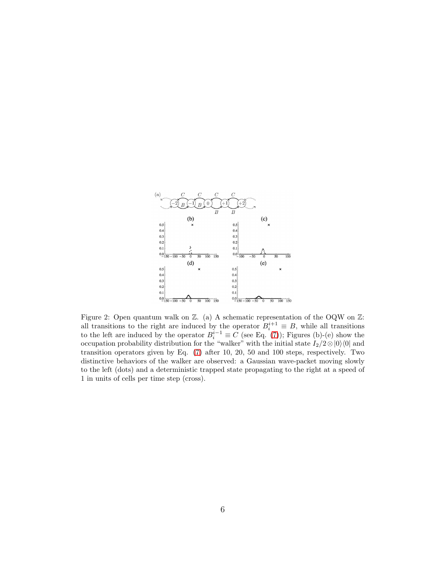

<span id="page-5-0"></span>Figure 2: Open quantum walk on  $\mathbb{Z}$ . (a) A schematic representation of the OQW on  $\mathbb{Z}$ : all transitions to the right are induced by the operator  $B_i^{i+1} \equiv B$ , while all transitions to the left are induced by the operator  $B_i^{i-1} \equiv C$  (see Eq. [\(7\)](#page-6-0)); Figures (b)-(e) show the occupation probability distribution for the "walker" with the initial state  $I_2/2\otimes|0\rangle\langle0|$  and transition operators given by Eq. [\(7\)](#page-6-0) after 10, 20, 50 and 100 steps, respectively. Two distinctive behaviors of the walker are observed: a Gaussian wave-packet moving slowly to the left (dots) and a deterministic trapped state propagating to the right at a speed of 1 in units of cells per time step (cross).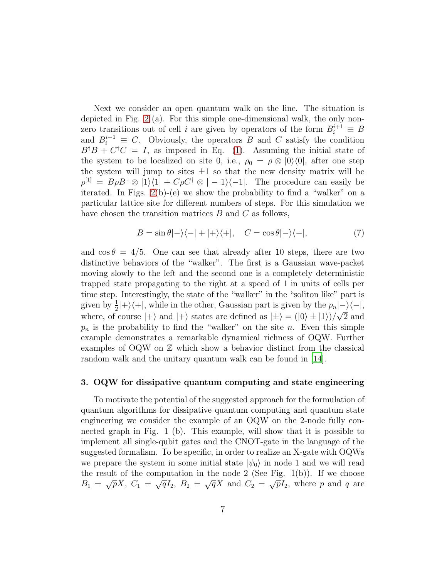Next we consider an open quantum walk on the line. The situation is depicted in Fig. [2](#page-5-0) (a). For this simple one-dimensional walk, the only nonzero transitions out of cell *i* are given by operators of the form  $B_i^{i+1} \equiv B$ and  $B_i^{i-1} \equiv C$ . Obviously, the operators B and C satisfy the condition  $B^{\dagger}B + C^{\dagger}C = I$ , as imposed in Eq. [\(1\)](#page-2-0). Assuming the initial state of the system to be localized on site 0, i.e.,  $\rho_0 = \rho \otimes |0\rangle\langle 0|$ , after one step the system will jump to sites  $\pm 1$  so that the new density matrix will be  $\rho^{[1]} = B \rho B^{\dagger} \otimes |1\rangle\langle 1| + C\rho C^{\dagger} \otimes |-1\rangle\langle -1|$ . The procedure can easily be iterated. In Figs.  $2(b)-(e)$  we show the probability to find a "walker" on a particular lattice site for different numbers of steps. For this simulation we have chosen the transition matrices  $B$  and  $C$  as follows,

<span id="page-6-0"></span>
$$
B = \sin \theta |-\rangle \langle -| + | + \rangle \langle +|, \quad C = \cos \theta |-\rangle \langle -|, \tag{7}
$$

and  $\cos \theta = 4/5$ . One can see that already after 10 steps, there are two distinctive behaviors of the "walker". The first is a Gaussian wave-packet moving slowly to the left and the second one is a completely deterministic trapped state propagating to the right at a speed of 1 in units of cells per time step. Interestingly, the state of the "walker" in the "soliton like" part is given by  $\frac{1}{2}$ |+ $\rangle$  $\langle$ +|, while in the other, Gaussian part is given by the  $p_n$ |- $\rangle$  $\langle$ -|, where, of course  $|+\rangle$  and  $|+\rangle$  states are defined as  $|\pm\rangle = (|0\rangle \pm |1\rangle)/\sqrt{2}$  and  $p_n$  is the probability to find the "walker" on the site n. Even this simple example demonstrates a remarkable dynamical richness of OQW. Further examples of  $OQW$  on  $\mathbb Z$  which show a behavior distinct from the classical random walk and the unitary quantum walk can be found in [\[14\]](#page-12-0).

#### 3. OQW for dissipative quantum computing and state engineering

To motivate the potential of the suggested approach for the formulation of quantum algorithms for dissipative quantum computing and quantum state engineering we consider the example of an OQW on the 2-node fully connected graph in Fig. 1 (b). This example, will show that it is possible to implement all single-qubit gates and the CNOT-gate in the language of the suggested formalism. To be specific, in order to realize an X-gate with OQWs we prepare the system in some initial state  $|\psi_0\rangle$  in node 1 and we will read the result of the computation in the node 2 (See Fig.  $1(b)$ ). If we choose  $B_1 = \sqrt{p}X, C_1 = \sqrt{q}I_2, B_2 = \sqrt{q}X$  and  $C_2 = \sqrt{p}I_2$ , where p and q are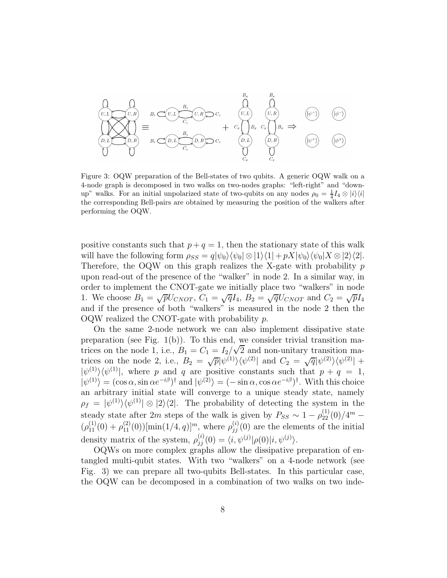

Figure 3: OQW preparation of the Bell-states of two qubits. A generic OQW walk on a 4-node graph is decomposed in two walks on two-nodes graphs: "left-right" and "downup" walks. For an initial unpolarized state of two-qubits on any nodes  $\rho_0 = \frac{1}{4} I_4 \otimes |i\rangle\langle i|$ the corresponding Bell-pairs are obtained by measuring the position of the walkers after performing the OQW.

positive constants such that  $p + q = 1$ , then the stationary state of this walk will have the following form  $\rho_{SS} = q|\psi_0\rangle \langle \psi_0| \otimes |1\rangle \langle 1| + pX|\psi_0\rangle \langle \psi_0| X \otimes |2\rangle \langle 2|$ . Therefore, the OQW on this graph realizes the X-gate with probability  $p$ upon read-out of the presence of the "walker" in node 2. In a similar way, in order to implement the CNOT-gate we initially place two "walkers" in node 1. We choose  $B_1 = \sqrt{p}U_{CNOT}$ ,  $C_1 = \sqrt{q}I_4$ ,  $B_2 = \sqrt{q}U_{CNOT}$  and  $C_2 = \sqrt{p}I_4$ and if the presence of both "walkers" is measured in the node 2 then the OQW realized the CNOT-gate with probability p.

On the same 2-node network we can also implement dissipative state preparation (see Fig.  $1(b)$ ). To this end, we consider trivial transition matrices on the node 1, i.e.,  $B_1 = C_1 = I_2/\sqrt{2}$  and non-unitary transition matrices on the node 2, i.e.,  $B_2 = \sqrt{p} |\psi^{(1)}\rangle\langle \psi^{(2)}|$  and  $C_2 = \sqrt{q} |\psi^{(2)}\rangle\langle \psi^{(2)}| +$  $|\psi^{(1)}\rangle\langle\psi^{(1)}|$ , where p and q are positive constants such that  $p + q = 1$ ,  $|\psi^{(1)}\rangle = (\cos \alpha, \sin \alpha e^{-i\beta})^{\dagger}$  and  $|\psi^{(2)}\rangle = (-\sin \alpha, \cos \alpha e^{-i\beta})^{\dagger}$ . With this choice an arbitrary initial state will converge to a unique steady state, namely  $\rho_f = |\psi^{(1)}\rangle\langle\psi^{(1)}| \otimes |2\rangle\langle 2|$ . The probability of detecting the system in the steady state after 2m steps of the walk is given by  $P_{SS} \sim 1 - \rho_{22}^{(1)}(0)/4^m (\rho_{11}^{(1)}(0) + \rho_{11}^{(2)}(0))$ [min $(1/4, q)$ ]<sup>*m*</sup>, where  $\rho_{jj}^{(i)}(0)$  are the elements of the initial density matrix of the system,  $\rho_{jj}^{(i)}(0) = \langle i, \psi^{(j)} | \rho(0) | i, \psi^{(j)} \rangle$ .

OQWs on more complex graphs allow the dissipative preparation of entangled multi-qubit states. With two "walkers" on a 4-node network (see Fig. 3) we can prepare all two-qubits Bell-states. In this particular case, the OQW can be decomposed in a combination of two walks on two inde-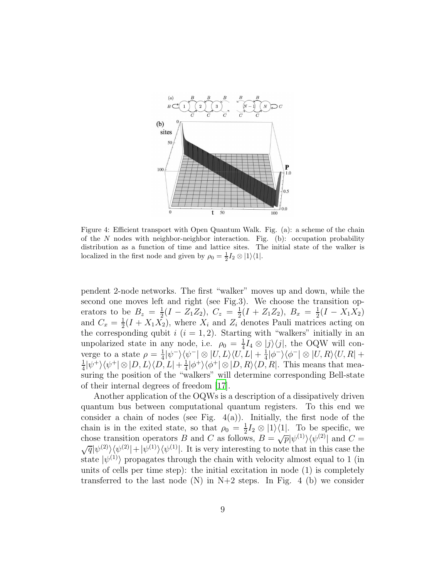

Figure 4: Efficient transport with Open Quantum Walk. Fig. (a): a scheme of the chain of the N nodes with neighbor-neighbor interaction. Fig. (b): occupation probability distribution as a function of time and lattice sites. The initial state of the walker is localized in the first node and given by  $\rho_0 = \frac{1}{2} I_2 \otimes |1\rangle\langle 1|$ .

pendent 2-node networks. The first "walker" moves up and down, while the second one moves left and right (see Fig.3). We choose the transition operators to be  $B_z = \frac{1}{2}$  $\frac{1}{2}(I - Z_1 Z_2), C_z = \frac{1}{2}$  $\frac{1}{2}(I + Z_1 Z_2), B_x = \frac{1}{2}$  $\frac{1}{2}(I - X_1 X_2)$ and  $C_x = \frac{1}{2}$  $\frac{1}{2}(I + X_1 X_2)$ , where  $X_i$  and  $Z_i$  denotes Pauli matrices acting on the corresponding qubit  $i$   $(i = 1, 2)$ . Starting with "walkers" initially in an unpolarized state in any node, i.e.  $\rho_0 = \frac{1}{4}$  $\frac{1}{4}I_4 \otimes |j\rangle\langle j|$ , the OQW will converge to a state  $\rho = \frac{1}{4}$  $\frac{1}{4}|\psi^-\rangle\langle\psi^-|\otimes|U,L\rangle\langle U,L|+\frac{1}{4}$  $\frac{1}{4}|\phi^-\rangle\langle\phi^-|\otimes|U,R\rangle\langle U,R|+$ 1  $\frac{1}{4}|\psi^{+}\rangle\langle\psi^{+}|\otimes|D,L\rangle\langle D,L|+\frac{1}{4}$  $\frac{1}{4}|\phi^{+}\rangle\langle\phi^{+}|\otimes|D,R\rangle\langle D,R|$ . This means that measuring the position of the "walkers" will determine corresponding Bell-state of their internal degrees of freedom [\[17](#page-12-3)].

Another application of the OQWs is a description of a dissipatively driven quantum bus between computational quantum registers. To this end we consider a chain of nodes (see Fig.  $4(a)$ ). Initially, the first node of the chain is in the exited state, so that  $\rho_0 = \frac{1}{2}$  $\frac{1}{2}I_2 \otimes |1\rangle\langle 1|$ . To be specific, we chose transition operators B and C as follows,  $B = \sqrt{p} |\psi^{(1)}\rangle \langle \psi^{(2)}|$ chose transition operators *B* and *C* as follows,  $B = \sqrt{p} |\psi^{(1)}\rangle \langle \psi^{(2)}|$  and  $C = \sqrt{q} |\psi^{(2)}\rangle \langle \psi^{(2)}| + |\psi^{(1)}\rangle \langle \psi^{(1)}|$ . It is very interesting to note that in this case the state  $|\psi^{(1)}\rangle$  propagates through the chain with velocity almost equal to 1 (in units of cells per time step): the initial excitation in node (1) is completely transferred to the last node  $(N)$  in N+2 steps. In Fig. 4 (b) we consider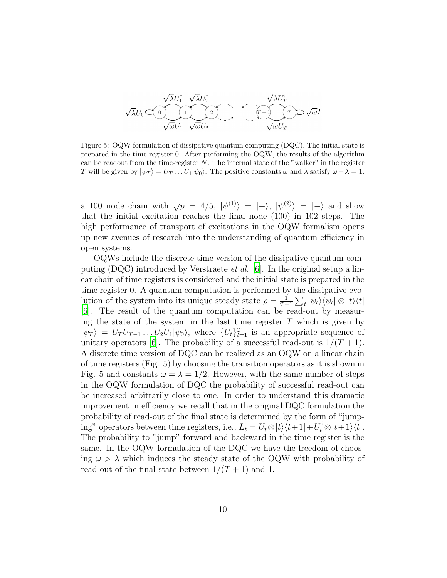$$
\sqrt{\lambda}U_1^{\dagger} \sqrt{\lambda}U_2^{\dagger} \sqrt{\lambda}U_T^{\dagger}
$$
\n
$$
\sqrt{\lambda}U_0 \subset \bigcirc \qquad \qquad \underbrace{\qquad \qquad }_{\sqrt{\omega}U_1} \underbrace{\qquad \qquad }_{\sqrt{\omega}U_2} \underbrace{\qquad \qquad }_{\sqrt{\omega}U_T} \underbrace{\qquad \qquad }_{\sqrt{\omega}U_T} \underbrace{\qquad \qquad }_{\sqrt{\omega}U_T} \quad \qquad \qquad \qquad \qquad \qquad \qquad }_{\sqrt{\omega}U_T}
$$

Figure 5: OQW formulation of dissipative quantum computing (DQC). The initial state is prepared in the time-register 0. After performing the OQW, the results of the algorithm can be readout from the time-register  $N$ . The internal state of the "walker" in the register T will be given by  $|\psi_T\rangle = U_T \dots U_1 |\psi_0\rangle$ . The positive constants  $\omega$  and  $\lambda$  satisfy  $\omega + \lambda = 1$ .

a 100 node chain with  $\sqrt{p} = 4/5$ ,  $|\psi^{(1)}\rangle = |+\rangle$ ,  $|\psi^{(2)}\rangle = |-\rangle$  and show that the initial excitation reaches the final node (100) in 102 steps. The high performance of transport of excitations in the OQW formalism opens up new avenues of research into the understanding of quantum efficiency in open systems.

OQWs include the discrete time version of the dissipative quantum computing  $(DQC)$  introduced by Verstraete *et al.* [\[6](#page-11-2)]. In the original setup a linear chain of time registers is considered and the initial state is prepared in the time register 0. A quantum computation is performed by the dissipative evolution of the system into its unique steady state  $\rho = \frac{1}{T}$  $\frac{1}{T+1}\sum_t |\psi_t\rangle\langle\psi_t| \otimes |t\rangle\langle t|$ [\[6](#page-11-2)]. The result of the quantum computation can be read-out by measuring the state of the system in the last time register  $T$  which is given by  $|\psi_T\rangle = U_T U_{T-1} \dots U_2 U_1 |\psi_0\rangle$ , where  $\{U_t\}_{t=1}^T$  is an appropriate sequence of unitary operators [\[6](#page-11-2)]. The probability of a successful read-out is  $1/(T+1)$ . A discrete time version of DQC can be realized as an OQW on a linear chain of time registers (Fig. 5) by choosing the transition operators as it is shown in Fig. 5 and constants  $\omega = \lambda = 1/2$ . However, with the same number of steps in the OQW formulation of DQC the probability of successful read-out can be increased arbitrarily close to one. In order to understand this dramatic improvement in efficiency we recall that in the original DQC formulation the probability of read-out of the final state is determined by the form of "jumping" operators between time registers, i.e.,  $L_t = U_t \otimes |t\rangle\langle t+1| + U_t^{\dagger} \otimes |t+1\rangle\langle t|$ . The probability to "jump" forward and backward in the time register is the same. In the OQW formulation of the DQC we have the freedom of choosing  $\omega > \lambda$  which induces the steady state of the OQW with probability of read-out of the final state between  $1/(T+1)$  and 1.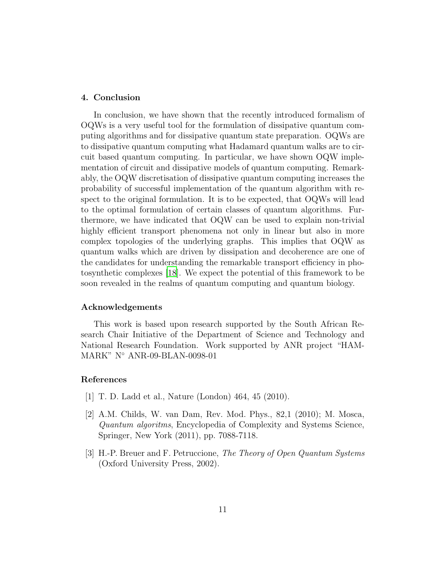### 4. Conclusion

In conclusion, we have shown that the recently introduced formalism of OQWs is a very useful tool for the formulation of dissipative quantum computing algorithms and for dissipative quantum state preparation. OQWs are to dissipative quantum computing what Hadamard quantum walks are to circuit based quantum computing. In particular, we have shown OQW implementation of circuit and dissipative models of quantum computing. Remarkably, the OQW discretisation of dissipative quantum computing increases the probability of successful implementation of the quantum algorithm with respect to the original formulation. It is to be expected, that OQWs will lead to the optimal formulation of certain classes of quantum algorithms. Furthermore, we have indicated that OQW can be used to explain non-trivial highly efficient transport phenomena not only in linear but also in more complex topologies of the underlying graphs. This implies that OQW as quantum walks which are driven by dissipation and decoherence are one of the candidates for understanding the remarkable transport efficiency in photosynthetic complexes [\[18\]](#page-12-4). We expect the potential of this framework to be soon revealed in the realms of quantum computing and quantum biology.

#### Acknowledgements

This work is based upon research supported by the South African Research Chair Initiative of the Department of Science and Technology and National Research Foundation. Work supported by ANR project "HAM-MARK" N◦ ANR-09-BLAN-0098-01

## References

- <span id="page-10-0"></span>[1] T. D. Ladd et al., Nature (London) 464, 45 (2010).
- <span id="page-10-1"></span>[2] A.M. Childs, W. van Dam, Rev. Mod. Phys., 82,1 (2010); M. Mosca, Quantum algoritms, Encyclopedia of Complexity and Systems Science, Springer, New York (2011), pp. 7088-7118.
- <span id="page-10-2"></span>[3] H.-P. Breuer and F. Petruccione, The Theory of Open Quantum Systems (Oxford University Press, 2002).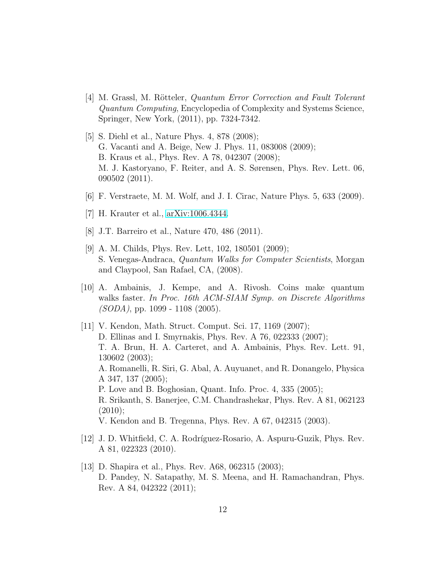- <span id="page-11-0"></span>[4] M. Grassl, M. Rötteler, *Quantum Error Correction and Fault Tolerant* Quantum Computing, Encyclopedia of Complexity and Systems Science, Springer, New York, (2011), pp. 7324-7342.
- <span id="page-11-1"></span>[5] S. Diehl et al., Nature Phys. 4, 878 (2008); G. Vacanti and A. Beige, New J. Phys. 11, 083008 (2009); B. Kraus et al., Phys. Rev. A 78, 042307 (2008); M. J. Kastoryano, F. Reiter, and A. S. Sørensen, Phys. Rev. Lett. 06, 090502 (2011).
- <span id="page-11-2"></span>[6] F. Verstraete, M. M. Wolf, and J. I. Cirac, Nature Phys. 5, 633 (2009).
- <span id="page-11-3"></span>[7] H. Krauter et al., [arXiv:1006.4344.](http://arxiv.org/abs/1006.4344)
- <span id="page-11-4"></span>[8] J.T. Barreiro et al., Nature 470, 486 (2011).
- <span id="page-11-5"></span>[9] A. M. Childs, Phys. Rev. Lett, 102, 180501 (2009); S. Venegas-Andraca, Quantum Walks for Computer Scientists, Morgan and Claypool, San Rafael, CA, (2008).
- <span id="page-11-6"></span>[10] A. Ambainis, J. Kempe, and A. Rivosh. Coins make quantum walks faster. In Proc. 16th ACM-SIAM Symp. on Discrete Algorithms  $(SODA)$ , pp. 1099 - 1108 (2005).
- <span id="page-11-7"></span>[11] V. Kendon, Math. Struct. Comput. Sci. 17, 1169 (2007); D. Ellinas and I. Smyrnakis, Phys. Rev. A 76, 022333 (2007); T. A. Brun, H. A. Carteret, and A. Ambainis, Phys. Rev. Lett. 91, 130602 (2003); A. Romanelli, R. Siri, G. Abal, A. Auyuanet, and R. Donangelo, Physica A 347, 137 (2005); P. Love and B. Boghosian, Quant. Info. Proc. 4, 335 (2005); R. Srikanth, S. Banerjee, C.M. Chandrashekar, Phys. Rev. A 81, 062123  $(2010);$ V. Kendon and B. Tregenna, Phys. Rev. A 67, 042315 (2003).
- <span id="page-11-8"></span>[12] J. D. Whitfield, C. A. Rodríguez-Rosario, A. Aspuru-Guzik, Phys. Rev. A 81, 022323 (2010).
- <span id="page-11-9"></span>[13] D. Shapira et al., Phys. Rev. A68, 062315 (2003); D. Pandey, N. Satapathy, M. S. Meena, and H. Ramachandran, Phys. Rev. A 84, 042322 (2011);